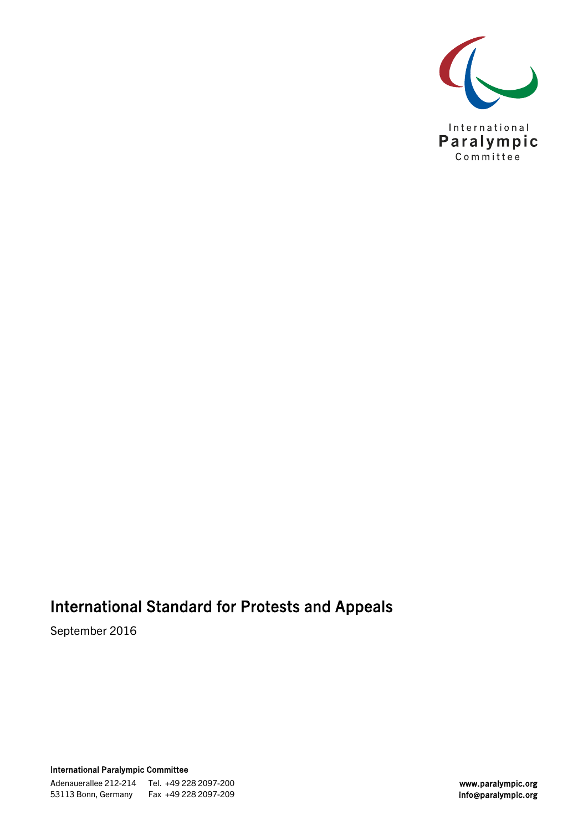

# International Standard for Protests and Appeals

September 2016

International Paralympic Committee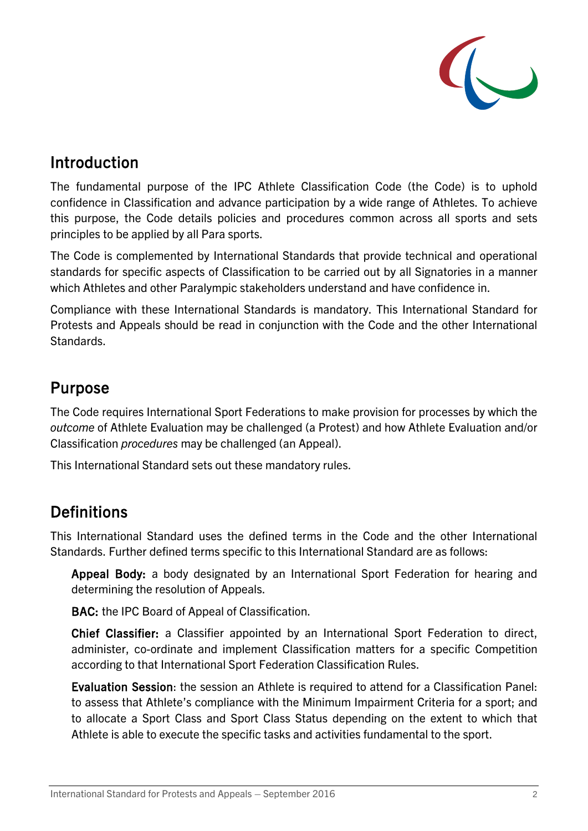

### Introduction

The fundamental purpose of the IPC Athlete Classification Code (the Code) is to uphold confidence in Classification and advance participation by a wide range of Athletes. To achieve this purpose, the Code details policies and procedures common across all sports and sets principles to be applied by all Para sports.

The Code is complemented by International Standards that provide technical and operational standards for specific aspects of Classification to be carried out by all Signatories in a manner which Athletes and other Paralympic stakeholders understand and have confidence in.

Compliance with these International Standards is mandatory. This International Standard for Protests and Appeals should be read in conjunction with the Code and the other International Standards.

### Purpose

The Code requires International Sport Federations to make provision for processes by which the *outcome* of Athlete Evaluation may be challenged (a Protest) and how Athlete Evaluation and/or Classification *procedures* may be challenged (an Appeal).

This International Standard sets out these mandatory rules.

# **Definitions**

This International Standard uses the defined terms in the Code and the other International Standards. Further defined terms specific to this International Standard are as follows:

Appeal Body: a body designated by an International Sport Federation for hearing and determining the resolution of Appeals.

BAC: the IPC Board of Appeal of Classification.

Chief Classifier: a Classifier appointed by an International Sport Federation to direct, administer, co-ordinate and implement Classification matters for a specific Competition according to that International Sport Federation Classification Rules.

Evaluation Session: the session an Athlete is required to attend for a Classification Panel: to assess that Athlete's compliance with the Minimum Impairment Criteria for a sport; and to allocate a Sport Class and Sport Class Status depending on the extent to which that Athlete is able to execute the specific tasks and activities fundamental to the sport.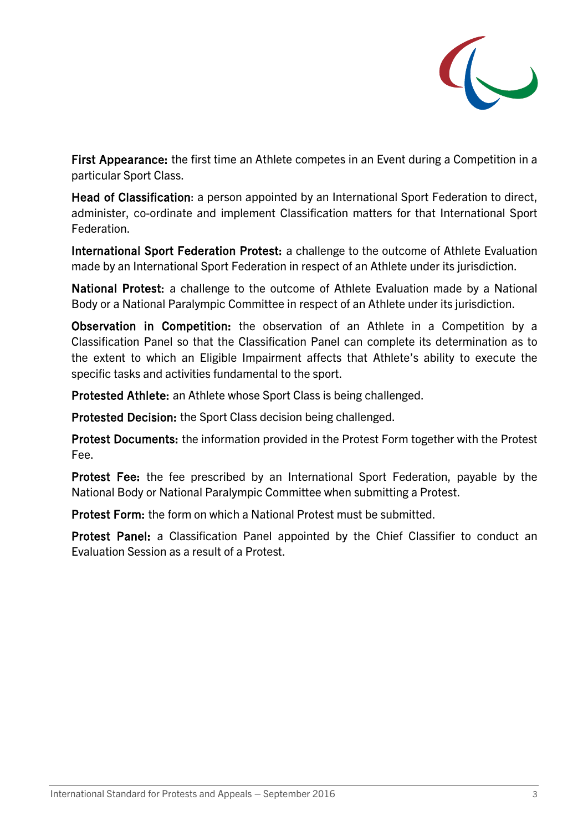

First Appearance: the first time an Athlete competes in an Event during a Competition in a particular Sport Class.

Head of Classification: a person appointed by an International Sport Federation to direct, administer, co-ordinate and implement Classification matters for that International Sport Federation.

International Sport Federation Protest: a challenge to the outcome of Athlete Evaluation made by an International Sport Federation in respect of an Athlete under its jurisdiction.

National Protest: a challenge to the outcome of Athlete Evaluation made by a National Body or a National Paralympic Committee in respect of an Athlete under its jurisdiction.

Observation in Competition: the observation of an Athlete in a Competition by a Classification Panel so that the Classification Panel can complete its determination as to the extent to which an Eligible Impairment affects that Athlete's ability to execute the specific tasks and activities fundamental to the sport.

Protested Athlete: an Athlete whose Sport Class is being challenged.

Protested Decision: the Sport Class decision being challenged.

Protest Documents: the information provided in the Protest Form together with the Protest Fee.

Protest Fee: the fee prescribed by an International Sport Federation, payable by the National Body or National Paralympic Committee when submitting a Protest.

Protest Form: the form on which a National Protest must be submitted.

Protest Panel: a Classification Panel appointed by the Chief Classifier to conduct an Evaluation Session as a result of a Protest.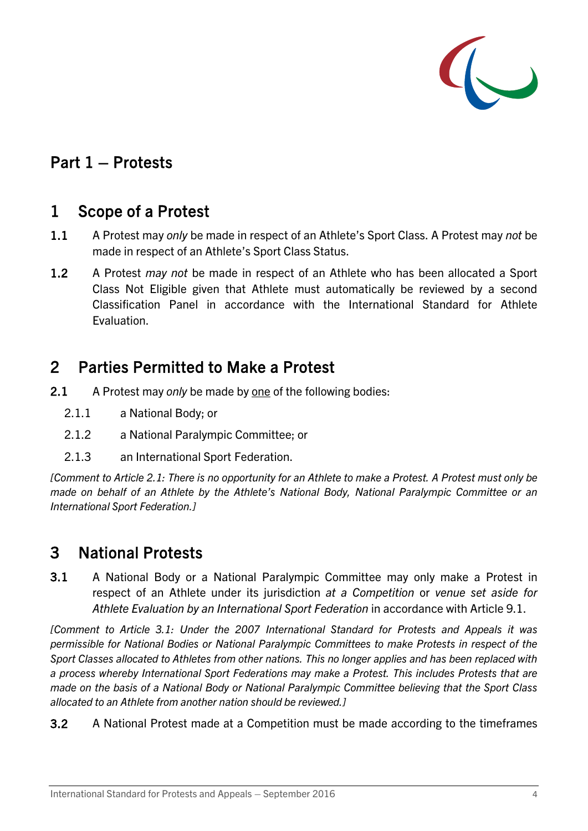

### Part 1 – Protests

#### 1 Scope of a Protest

- 1.1 A Protest may *only* be made in respect of an Athlete's Sport Class. A Protest may *not* be made in respect of an Athlete's Sport Class Status.
- 1.2 A Protest *may not* be made in respect of an Athlete who has been allocated a Sport Class Not Eligible given that Athlete must automatically be reviewed by a second Classification Panel in accordance with the International Standard for Athlete Evaluation.

#### 2 Parties Permitted to Make a Protest

- <span id="page-3-0"></span>2.1 A Protest may *only* be made by one of the following bodies:
	- 2.1.1 a National Body; or
	- 2.1.2 a National Paralympic Committee; or
	- 2.1.3 an International Sport Federation.

*[Comment to Article [2.1:](#page-3-0) There is no opportunity for an Athlete to make a Protest. A Protest must only be made on behalf of an Athlete by the Athlete's National Body, National Paralympic Committee or an International Sport Federation.]* 

### 3 National Protests

<span id="page-3-1"></span>3.1 A National Body or a National Paralympic Committee may only make a Protest in respect of an Athlete under its jurisdiction *at a Competition* or *venue set aside for Athlete Evaluation by an International Sport Federation* in accordance with Article [9.1.](#page-8-0)

*[Comment to Article [3.1:](#page-3-1) Under the 2007 International Standard for Protests and Appeals it was permissible for National Bodies or National Paralympic Committees to make Protests in respect of the Sport Classes allocated to Athletes from other nations. This no longer applies and has been replaced with a process whereby International Sport Federations may make a Protest. This includes Protests that are made on the basis of a National Body or National Paralympic Committee believing that the Sport Class allocated to an Athlete from another nation should be reviewed.]*

3.2 A National Protest made at a Competition must be made according to the timeframes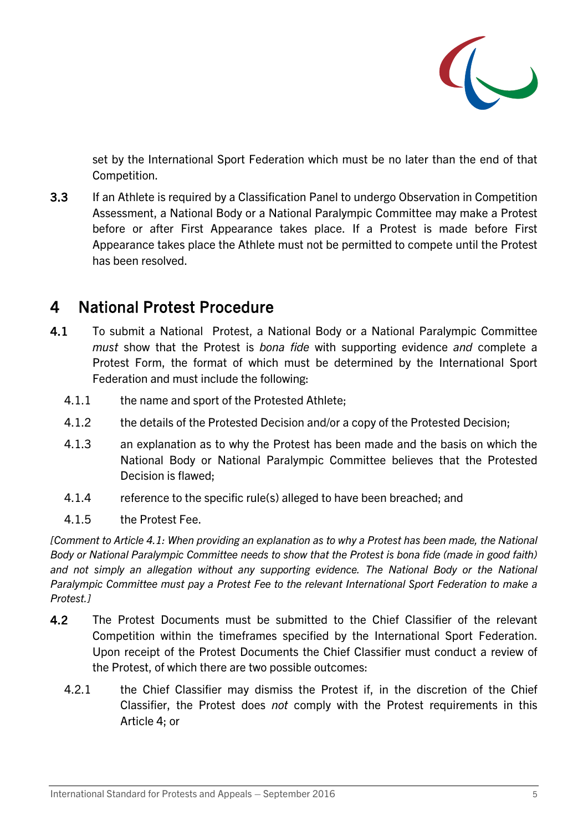

set by the International Sport Federation which must be no later than the end of that Competition.

3.3 If an Athlete is required by a Classification Panel to undergo Observation in Competition Assessment, a National Body or a National Paralympic Committee may make a Protest before or after First Appearance takes place. If a Protest is made before First Appearance takes place the Athlete must not be permitted to compete until the Protest has been resolved.

### <span id="page-4-1"></span>4 National Protest Procedure

- <span id="page-4-0"></span>4.1 To submit a National Protest, a National Body or a National Paralympic Committee *must* show that the Protest is *bona fide* with supporting evidence *and* complete a Protest Form, the format of which must be determined by the International Sport Federation and must include the following:
	- 4.1.1 the name and sport of the Protested Athlete;
	- 4.1.2 the details of the Protested Decision and/or a copy of the Protested Decision;
	- 4.1.3 an explanation as to why the Protest has been made and the basis on which the National Body or National Paralympic Committee believes that the Protested Decision is flawed;
	- 4.1.4 reference to the specific rule(s) alleged to have been breached; and
	- 4.1.5 the Protest Fee.

*[Comment to Article [4.1:](#page-4-0) When providing an explanation as to why a Protest has been made, the National Body or National Paralympic Committee needs to show that the Protest is bona fide (made in good faith) and not simply an allegation without any supporting evidence. The National Body or the National Paralympic Committee must pay a Protest Fee to the relevant International Sport Federation to make a Protest.]*

- 4.2 The Protest Documents must be submitted to the Chief Classifier of the relevant Competition within the timeframes specified by the International Sport Federation. Upon receipt of the Protest Documents the Chief Classifier must conduct a review of the Protest, of which there are two possible outcomes:
	- 4.2.1 the Chief Classifier may dismiss the Protest if, in the discretion of the Chief Classifier, the Protest does *not* comply with the Protest requirements in this Article [4;](#page-4-1) or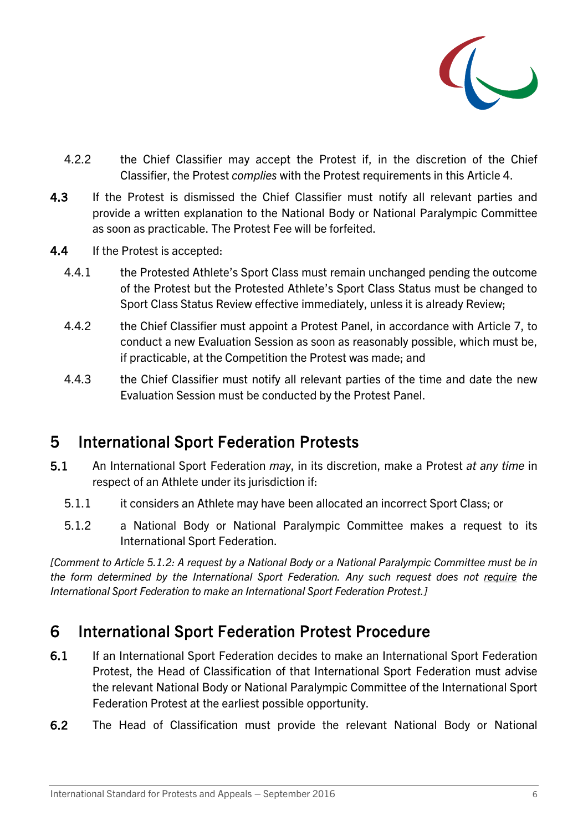

- 4.2.2 the Chief Classifier may accept the Protest if, in the discretion of the Chief Classifier, the Protest *complies* with the Protest requirements in this Article [4.](#page-4-1)
- 4.3 If the Protest is dismissed the Chief Classifier must notify all relevant parties and provide a written explanation to the National Body or National Paralympic Committee as soon as practicable. The Protest Fee will be forfeited.
- 4.4 If the Protest is accepted:
	- 4.4.1 the Protested Athlete's Sport Class must remain unchanged pending the outcome of the Protest but the Protested Athlete's Sport Class Status must be changed to Sport Class Status Review effective immediately, unless it is already Review;
	- 4.4.2 the Chief Classifier must appoint a Protest Panel, in accordance with Article [7,](#page-6-0) to conduct a new Evaluation Session as soon as reasonably possible, which must be, if practicable, at the Competition the Protest was made; and
	- 4.4.3 the Chief Classifier must notify all relevant parties of the time and date the new Evaluation Session must be conducted by the Protest Panel.

### 5 International Sport Federation Protests

- 5.1 An International Sport Federation *may*, in its discretion, make a Protest *at any time* in respect of an Athlete under its jurisdiction if:
	- 5.1.1 it considers an Athlete may have been allocated an incorrect Sport Class; or
	- 5.1.2 a National Body or National Paralympic Committee makes a request to its International Sport Federation.

<span id="page-5-0"></span>*[Comment to Article [5.1.2:](#page-5-0) A request by a National Body or a National Paralympic Committee must be in the form determined by the International Sport Federation. Any such request does not require the International Sport Federation to make an International Sport Federation Protest.]*

### 6 International Sport Federation Protest Procedure

- 6.1 If an International Sport Federation decides to make an International Sport Federation Protest, the Head of Classification of that International Sport Federation must advise the relevant National Body or National Paralympic Committee of the International Sport Federation Protest at the earliest possible opportunity.
- 6.2 The Head of Classification must provide the relevant National Body or National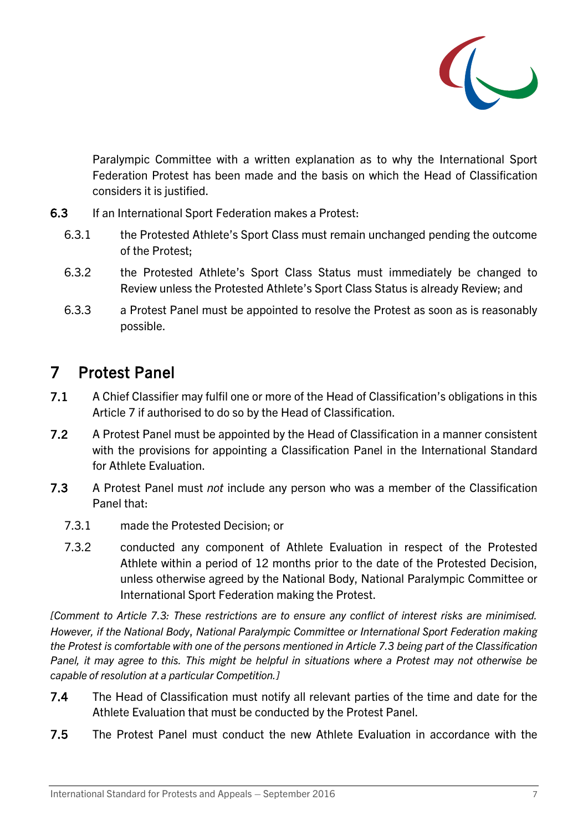

Paralympic Committee with a written explanation as to why the International Sport Federation Protest has been made and the basis on which the Head of Classification considers it is justified.

- 6.3 If an International Sport Federation makes a Protest:
	- 6.3.1 the Protested Athlete's Sport Class must remain unchanged pending the outcome of the Protest;
	- 6.3.2 the Protested Athlete's Sport Class Status must immediately be changed to Review unless the Protested Athlete's Sport Class Status is already Review; and
	- 6.3.3 a Protest Panel must be appointed to resolve the Protest as soon as is reasonably possible.

# <span id="page-6-0"></span>7 Protest Panel

- 7.1 A Chief Classifier may fulfil one or more of the Head of Classification's obligations in this Article [7](#page-6-0) if authorised to do so by the Head of Classification.
- 7.2 A Protest Panel must be appointed by the Head of Classification in a manner consistent with the provisions for appointing a Classification Panel in the International Standard for Athlete Evaluation.
- <span id="page-6-1"></span>7.3 A Protest Panel must *not* include any person who was a member of the Classification Panel that:
	- 7.3.1 made the Protested Decision; or
	- 7.3.2 conducted any component of Athlete Evaluation in respect of the Protested Athlete within a period of 12 months prior to the date of the Protested Decision, unless otherwise agreed by the National Body, National Paralympic Committee or International Sport Federation making the Protest.

*[Comment to Article [7.3:](#page-6-1) These restrictions are to ensure any conflict of interest risks are minimised. However, if the National Body*, *National Paralympic Committee or International Sport Federation making the Protest is comfortable with one of the persons mentioned in Article [7.3](#page-6-1) being part of the Classification Panel, it may agree to this. This might be helpful in situations where a Protest may not otherwise be capable of resolution at a particular Competition.]* 

- 7.4 The Head of Classification must notify all relevant parties of the time and date for the Athlete Evaluation that must be conducted by the Protest Panel.
- 7.5 The Protest Panel must conduct the new Athlete Evaluation in accordance with the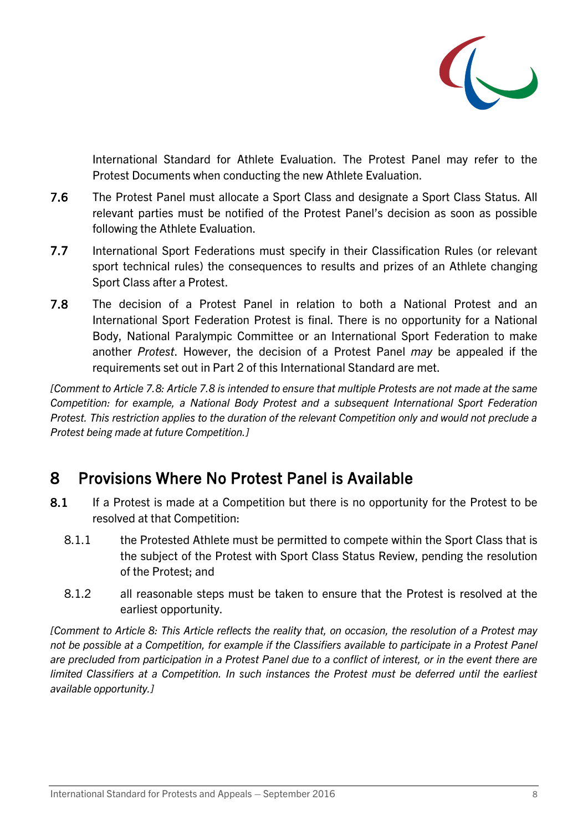

International Standard for Athlete Evaluation. The Protest Panel may refer to the Protest Documents when conducting the new Athlete Evaluation.

- 7.6 The Protest Panel must allocate a Sport Class and designate a Sport Class Status. All relevant parties must be notified of the Protest Panel's decision as soon as possible following the Athlete Evaluation.
- 7.7 International Sport Federations must specify in their Classification Rules (or relevant sport technical rules) the consequences to results and prizes of an Athlete changing Sport Class after a Protest.
- 7.8 The decision of a Protest Panel in relation to both a National Protest and an International Sport Federation Protest is final. There is no opportunity for a National Body, National Paralympic Committee or an International Sport Federation to make another *Protest*. However, the decision of a Protest Panel *may* be appealed if the requirements set out in Part 2 of this International Standard are met.

*[Comment to Article 7.8: Article 7.8 is intended to ensure that multiple Protests are not made at the same Competition: for example, a National Body Protest and a subsequent International Sport Federation Protest. This restriction applies to the duration of the relevant Competition only and would not preclude a Protest being made at future Competition.]*

## <span id="page-7-0"></span>8 Provisions Where No Protest Panel is Available

- 8.1 If a Protest is made at a Competition but there is no opportunity for the Protest to be resolved at that Competition:
	- 8.1.1 the Protested Athlete must be permitted to compete within the Sport Class that is the subject of the Protest with Sport Class Status Review, pending the resolution of the Protest; and
	- 8.1.2 all reasonable steps must be taken to ensure that the Protest is resolved at the earliest opportunity.

*[Comment to Article [8:](#page-7-0) This Article reflects the reality that, on occasion, the resolution of a Protest may not be possible at a Competition, for example if the Classifiers available to participate in a Protest Panel are precluded from participation in a Protest Panel due to a conflict of interest, or in the event there are limited Classifiers at a Competition. In such instances the Protest must be deferred until the earliest available opportunity.]*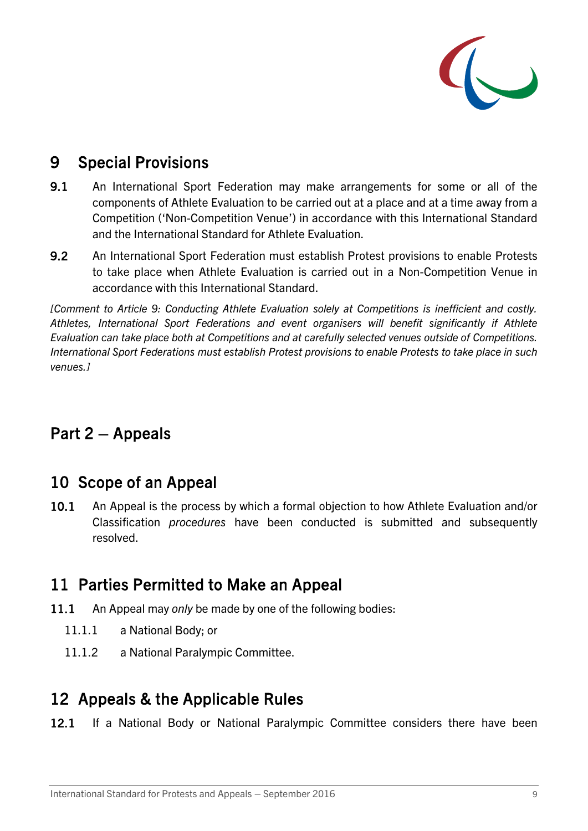

### <span id="page-8-1"></span>9 Special Provisions

- <span id="page-8-0"></span>9.1 An International Sport Federation may make arrangements for some or all of the components of Athlete Evaluation to be carried out at a place and at a time away from a Competition ('Non-Competition Venue') in accordance with this International Standard and the International Standard for Athlete Evaluation.
- 9.2 An International Sport Federation must establish Protest provisions to enable Protests to take place when Athlete Evaluation is carried out in a Non-Competition Venue in accordance with this International Standard.

*[Comment to Article [9:](#page-8-1) Conducting Athlete Evaluation solely at Competitions is inefficient and costly. Athletes, International Sport Federations and event organisers will benefit significantly if Athlete Evaluation can take place both at Competitions and at carefully selected venues outside of Competitions. International Sport Federations must establish Protest provisions to enable Protests to take place in such venues.]* 

# Part 2 – Appeals

### 10 Scope of an Appeal

10.1 An Appeal is the process by which a formal objection to how Athlete Evaluation and/or Classification *procedures* have been conducted is submitted and subsequently resolved.

## 11 Parties Permitted to Make an Appeal

- 11.1 An Appeal may *only* be made by one of the following bodies:
	- 11.1.1 a National Body; or
	- 11.1.2 a National Paralympic Committee.

### <span id="page-8-2"></span>12 Appeals & the Applicable Rules

12.1 If a National Body or National Paralympic Committee considers there have been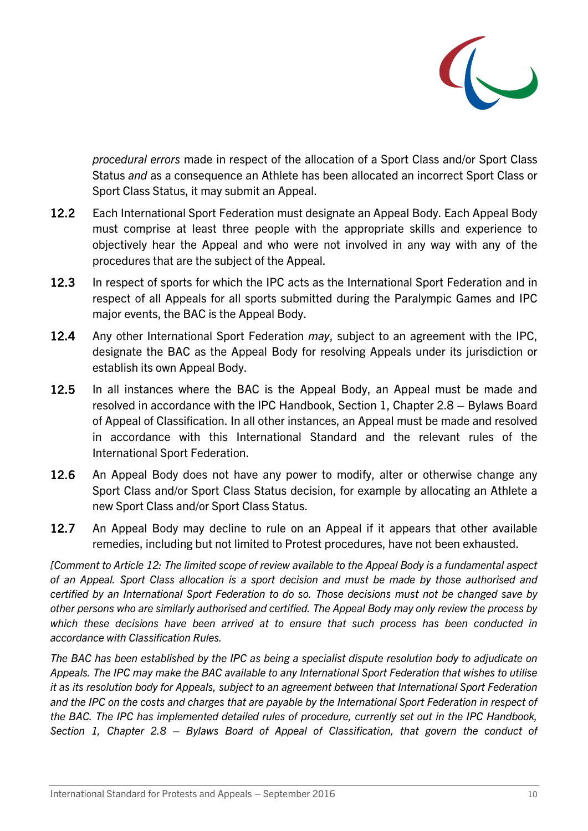

*procedural errors* made in respect of the allocation of a Sport Class and/or Sport Class Status *and* as a consequence an Athlete has been allocated an incorrect Sport Class or Sport Class Status, it may submit an Appeal.

- 12.2 Each International Sport Federation must designate an Appeal Body. Each Appeal Body must comprise at least three people with the appropriate skills and experience to objectively hear the Appeal and who were not involved in any way with any of the procedures that are the subject of the Appeal.
- 12.3 In respect of sports for which the IPC acts as the International Sport Federation and in respect of all Appeals for all sports submitted during the Paralympic Games and IPC major events, the BAC is the Appeal Body.
- 12.4 Any other International Sport Federation *may*, subject to an agreement with the IPC, designate the BAC as the Appeal Body for resolving Appeals under its jurisdiction or establish its own Appeal Body.
- 12.5 In all instances where the BAC is the Appeal Body, an Appeal must be made and resolved in accordance with the IPC Handbook, Section 1, Chapter 2.8 – Bylaws Board of Appeal of Classification. In all other instances, an Appeal must be made and resolved in accordance with this International Standard and the relevant rules of the International Sport Federation.
- 12.6 An Appeal Body does not have any power to modify, alter or otherwise change any Sport Class and/or Sport Class Status decision, for example by allocating an Athlete a new Sport Class and/or Sport Class Status.
- 12.7 An Appeal Body may decline to rule on an Appeal if it appears that other available remedies, including but not limited to Protest procedures, have not been exhausted.

*[Comment to Article [12:](#page-8-2) The limited scope of review available to the Appeal Body is a fundamental aspect of an Appeal. Sport Class allocation is a sport decision and must be made by those authorised and certified by an International Sport Federation to do so. Those decisions must not be changed save by other persons who are similarly authorised and certified. The Appeal Body may only review the process by which these decisions have been arrived at to ensure that such process has been conducted in accordance with Classification Rules.* 

*The BAC has been established by the IPC as being a specialist dispute resolution body to adjudicate on Appeals. The IPC may make the BAC available to any International Sport Federation that wishes to utilise it as its resolution body for Appeals, subject to an agreement between that International Sport Federation and the IPC on the costs and charges that are payable by the International Sport Federation in respect of the BAC. The IPC has implemented detailed rules of procedure, currently set out in the IPC Handbook, Section 1, Chapter 2.8 – Bylaws Board of Appeal of Classification, that govern the conduct of*